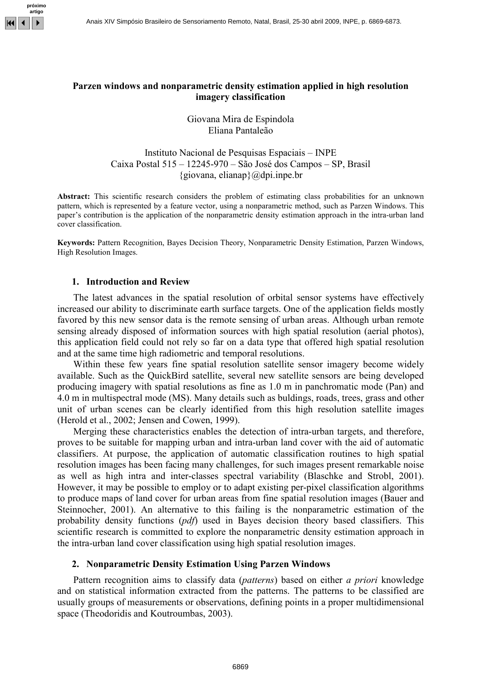

## Parzen windows and nonparametric density estimation applied in high resolution imagery classification

Giovana Mira de Espindola Eliana Pantaleão

Instituto Nacional de Pesquisas Espaciais – INPE Caixa Postal 515 – 12245-970 – São José dos Campos – SP, Brasil  ${giovana, elianap}$  $@dpi.inpe.br$ 

Abstract: This scientific research considers the problem of estimating class probabilities for an unknown pattern, which is represented by a feature vector, using a nonparametric method, such as Parzen Windows. This paper's contribution is the application of the nonparametric density estimation approach in the intra-urban land cover classification.

Keywords: Pattern Recognition, Bayes Decision Theory, Nonparametric Density Estimation, Parzen Windows, High Resolution Images.

### 1. Introduction and Review

The latest advances in the spatial resolution of orbital sensor systems have effectively increased our ability to discriminate earth surface targets. One of the application fields mostly favored by this new sensor data is the remote sensing of urban areas. Although urban remote sensing already disposed of information sources with high spatial resolution (aerial photos), this application field could not rely so far on a data type that offered high spatial resolution and at the same time high radiometric and temporal resolutions.

Within these few years fine spatial resolution satellite sensor imagery become widely available. Such as the QuickBird satellite, several new satellite sensors are being developed producing imagery with spatial resolutions as fine as 1.0 m in panchromatic mode (Pan) and 4.0 m in multispectral mode (MS). Many details such as buldings, roads, trees, grass and other unit of urban scenes can be clearly identified from this high resolution satellite images (Herold et al., 2002; Jensen and Cowen, 1999).

Merging these characteristics enables the detection of intra-urban targets, and therefore, proves to be suitable for mapping urban and intra-urban land cover with the aid of automatic classifiers. At purpose, the application of automatic classification routines to high spatial resolution images has been facing many challenges, for such images present remarkable noise as well as high intra and inter-classes spectral variability (Blaschke and Strobl, 2001). However, it may be possible to employ or to adapt existing per-pixel classification algorithms to produce maps of land cover for urban areas from fine spatial resolution images (Bauer and Steinnocher, 2001). An alternative to this failing is the nonparametric estimation of the probability density functions (pdf) used in Bayes decision theory based classifiers. This scientific research is committed to explore the nonparametric density estimation approach in the intra-urban land cover classification using high spatial resolution images.

### 2. Nonparametric Density Estimation Using Parzen Windows

Pattern recognition aims to classify data (*patterns*) based on either a *priori* knowledge and on statistical information extracted from the patterns. The patterns to be classified are usually groups of measurements or observations, defining points in a proper multidimensional space (Theodoridis and Koutroumbas, 2003).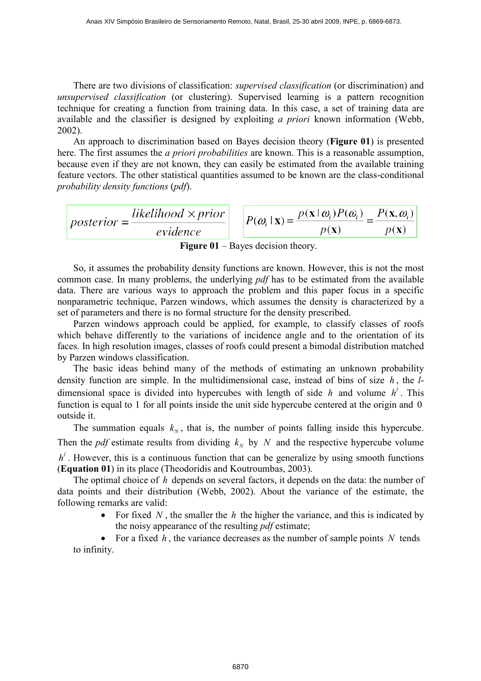There are two divisions of classification: *supervised classification* (or discrimination) and unsupervised classification (or clustering). Supervised learning is a pattern recognition technique for creating a function from training data. In this case, a set of training data are available and the classifier is designed by exploiting a priori known information (Webb, 2002).

An approach to discrimination based on Bayes decision theory (**Figure 01**) is presented here. The first assumes the *a priori probabilities* are known. This is a reasonable assumption, because even if they are not known, they can easily be estimated from the available training feature vectors. The other statistical quantities assumed to be known are the class-conditional probability density functions (pdf).

$$
posterior = \frac{likelihood \times prior}{evidence} \qquad P(\omega_i | \mathbf{x}) = \frac{p(\mathbf{x} | \omega_i) P(\omega_i)}{p(\mathbf{x})} = \frac{P(\mathbf{x}, \omega_i)}{p(\mathbf{x})}
$$

Figure 01 – Bayes decision theory.

So, it assumes the probability density functions are known. However, this is not the most common case. In many problems, the underlying pdf has to be estimated from the available data. There are various ways to approach the problem and this paper focus in a specific nonparametric technique, Parzen windows, which assumes the density is characterized by a set of parameters and there is no formal structure for the density prescribed.

Parzen windows approach could be applied, for example, to classify classes of roofs which behave differently to the variations of incidence angle and to the orientation of its faces. In high resolution images, classes of roofs could present a bimodal distribution matched by Parzen windows classification.

The basic ideas behind many of the methods of estimating an unknown probability density function are simple. In the multidimensional case, instead of bins of size  $h$ , the  $l$ dimensional space is divided into hypercubes with length of side h and volume  $h^l$ . This function is equal to 1 for all points inside the unit side hypercube centered at the origin and 0 outside it.

The summation equals  $k_N$ , that is, the number of points falling inside this hypercube. Then the *pdf* estimate results from dividing  $k_N$  by N and the respective hypercube volume  $h<sup>l</sup>$ . However, this is a continuous function that can be generalize by using smooth functions (Equation 01) in its place (Theodoridis and Koutroumbas, 2003).

The optimal choice of h depends on several factors, it depends on the data: the number of data points and their distribution (Webb, 2002). About the variance of the estimate, the following remarks are valid:

> For fixed N, the smaller the h the higher the variance, and this is indicated by the noisy appearance of the resulting *pdf* estimate;

• For a fixed  $h$ , the variance decreases as the number of sample points  $N$  tends to infinity.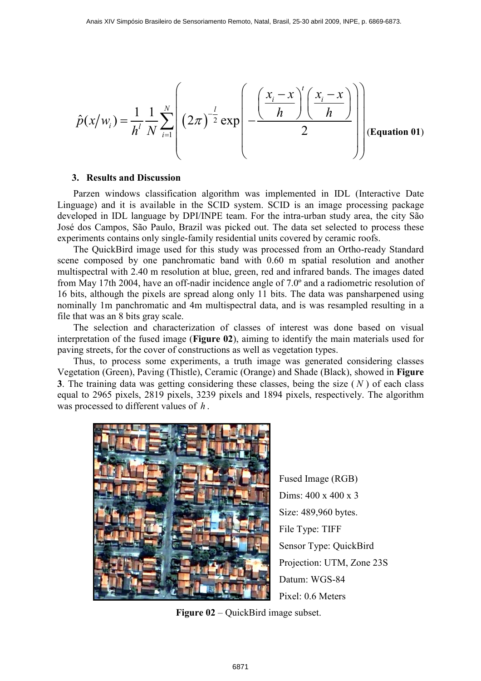$$
\hat{p}(x/w_i) = \frac{1}{h^l} \frac{1}{N} \sum_{i=1}^N \left( (2\pi)^{-\frac{l}{2}} \exp\left(-\frac{\left(\frac{x_i - x}{h}\right)^l \left(\frac{x_i - x}{h}\right)}{2}\right) \right)
$$
(Equation 01)

#### 3. Results and Discussion

Parzen windows classification algorithm was implemented in IDL (Interactive Date Linguage) and it is available in the SCID system. SCID is an image processing package developed in IDL language by DPI/INPE team. For the intra-urban study area, the city São José dos Campos, São Paulo, Brazil was picked out. The data set selected to process these experiments contains only single-family residential units covered by ceramic roofs.

The QuickBird image used for this study was processed from an Ortho-ready Standard scene composed by one panchromatic band with 0.60 m spatial resolution and another multispectral with 2.40 m resolution at blue, green, red and infrared bands. The images dated from May 17th 2004, have an off-nadir incidence angle of 7.0º and a radiometric resolution of 16 bits, although the pixels are spread along only 11 bits. The data was pansharpened using nominally 1m panchromatic and 4m multispectral data, and is was resampled resulting in a file that was an 8 bits gray scale.

The selection and characterization of classes of interest was done based on visual interpretation of the fused image (Figure 02), aiming to identify the main materials used for paving streets, for the cover of constructions as well as vegetation types.

Thus, to process some experiments, a truth image was generated considering classes Vegetation (Green), Paving (Thistle), Ceramic (Orange) and Shade (Black), showed in Figure 3. The training data was getting considering these classes, being the size  $(N)$  of each class equal to 2965 pixels, 2819 pixels, 3239 pixels and 1894 pixels, respectively. The algorithm was processed to different values of  $h$ .



Fused Image (RGB) Dims: 400 x 400 x 3 Size: 489,960 bytes. File Type: TIFF Sensor Type: QuickBird Projection: UTM, Zone 23S Datum: WGS-84 Pixel: 0.6 Meters

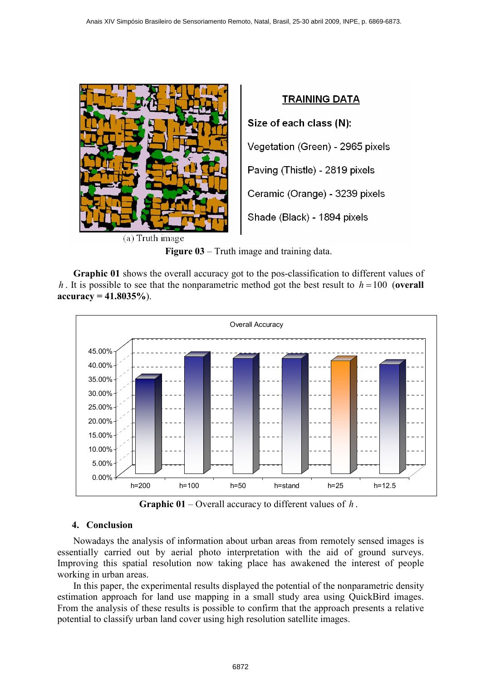

Figure 03 – Truth image and training data.

Graphic 01 shows the overall accuracy got to the pos-classification to different values of h. It is possible to see that the nonparametric method got the best result to  $h = 100$  (overall  $accuracy = 41.8035\%$ ).



**Graphic 01** – Overall accuracy to different values of  $h$ .

# 4. Conclusion

Nowadays the analysis of information about urban areas from remotely sensed images is essentially carried out by aerial photo interpretation with the aid of ground surveys. Improving this spatial resolution now taking place has awakened the interest of people working in urban areas.

In this paper, the experimental results displayed the potential of the nonparametric density estimation approach for land use mapping in a small study area using QuickBird images. From the analysis of these results is possible to confirm that the approach presents a relative potential to classify urban land cover using high resolution satellite images.